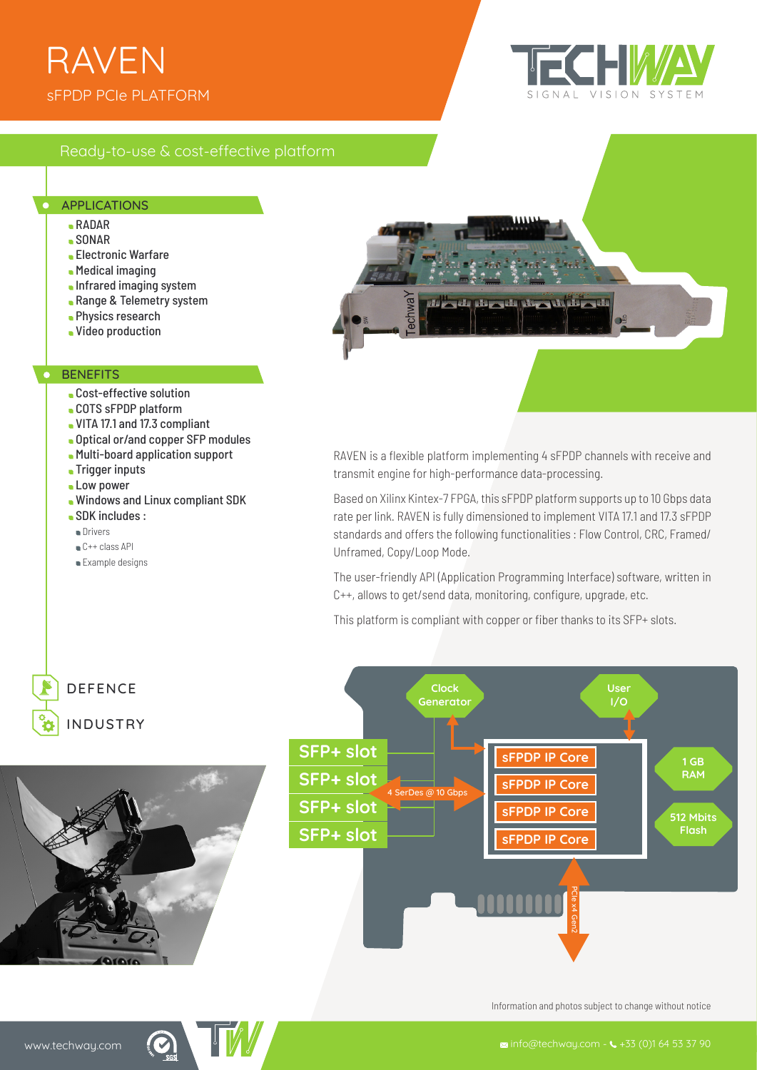# sFPDP PCIe PLATFORM RAVEN



## Ready-to-use & cost-effective platform

#### APPLICATIONS

- RADAR
- SONAR
- Electronic Warfare
- Medical imaging
- **Infrared imaging system**
- **Range & Telemetry system**
- **Physics research**
- Video production

#### **BENEFITS**

- **Cost-effective solution**
- COTS sFPDP platform
- VITA 17.1 and 17.3 compliant
- Optical or/and copper SFP modules
- Multi-board application support
- **Trigger inputs**
- **Low power**
- Windows and Linux compliant SDK
- SDK includes :
- **Drivers**
- C++ class API
- Example designs



RAVEN is a flexible platform implementing 4 sFPDP channels with receive and transmit engine for high-performance data-processing.

Based on Xilinx Kintex-7 FPGA, this sFPDP platform supports up to 10 Gbps data rate per link. RAVEN is fully dimensioned to implement VITA 17.1 and 17.3 sFPDP standards and offers the following functionalities : Flow Control, CRC, Framed/ Unframed, Copy/Loop Mode.

The user-friendly API (Application Programming Interface) software, written in C++, allows to get/send data, monitoring, configure, upgrade, etc.

This platform is compliant with copper or fiber thanks to its SFP+ slots.



Information and photos subject to change without notice